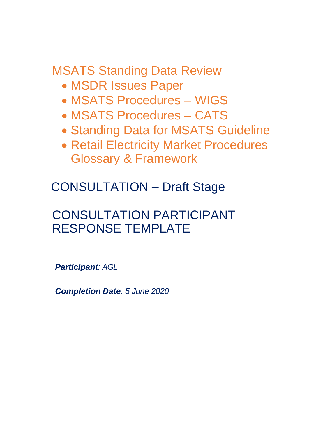MSATS Standing Data Review

- MSDR Issues Paper
- MSATS Procedures WIGS
- MSATS Procedures CATS
- Standing Data for MSATS Guideline
- Retail Electricity Market Procedures Glossary & Framework

CONSULTATION – Draft Stage

# CONSULTATION PARTICIPANT RESPONSE TEMPLATE

*Participant: AGL*

*Completion Date: 5 June 2020*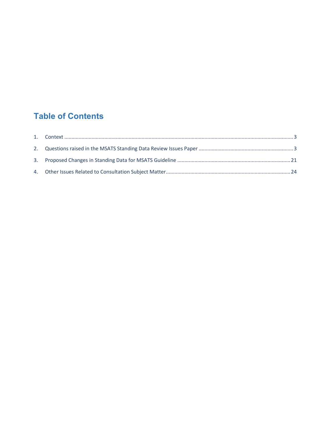# **Table of Contents**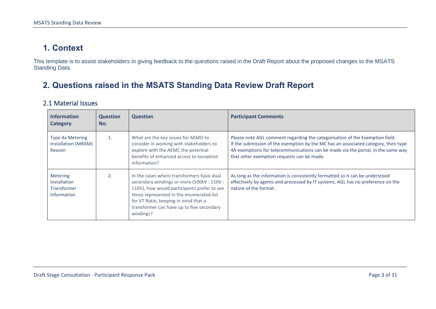## **1. Context**

This template is to assist stakeholders in giving feedback to the questions raised in the Draft Report about the proposed changes to the MSATS Standing Data.

## **2. Questions raised in the MSATS Standing Data Review Draft Report**

#### 2.1 Material Issues

<span id="page-2-1"></span><span id="page-2-0"></span>

| <b>Information</b><br><b>Category</b>                                       | <b>Question</b><br>No. | <b>Question</b>                                                                                                                                                                                                                                                                    | <b>Participant Comments</b>                                                                                                                                                                                                                                                                          |
|-----------------------------------------------------------------------------|------------------------|------------------------------------------------------------------------------------------------------------------------------------------------------------------------------------------------------------------------------------------------------------------------------------|------------------------------------------------------------------------------------------------------------------------------------------------------------------------------------------------------------------------------------------------------------------------------------------------------|
| Type 4a Metering<br>Installation (MRAM)<br>Reason                           | $\mathbf{1}$ .         | What are the key issues for AEMO to<br>consider in working with stakeholders to<br>explore with the AEMC the potential<br>benefits of enhanced access to exception<br>information?                                                                                                 | Please note AGL comment regarding the categorisation of the Exemption field.<br>If the submission of the exemption by the MC has an associated category, then type<br>4A exemptions for telecommunications can be made via the portal, in the same way<br>that other exemption requests can be made. |
| <b>Metering</b><br><b>Installation</b><br><b>Transformer</b><br>Information | 2.                     | In the cases where transformers have dual<br>secondary windings or more (500kV: 110V:<br>110V), how would participants prefer to see<br>those represented in the enumerated list<br>for VT Ratio, keeping in mind that a<br>transformer can have up to five secondary<br>windings? | As long as the information is consistently formatted so it can be understood<br>effectively by agents and processed by IT systems, AGL has no preference on the<br>nature of the format.                                                                                                             |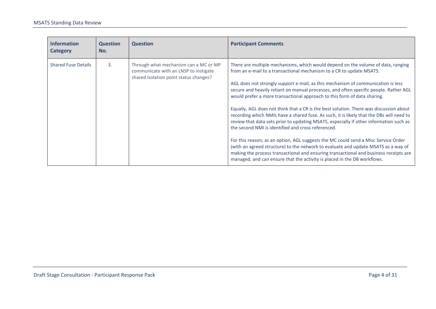| <b>Information</b><br><b>Category</b> | <b>Question</b><br>No. | <b>Question</b>                                                                                                          | <b>Participant Comments</b>                                                                                                                                                                                                                                                                                                                                                                                                                                                                                                                                                                             |
|---------------------------------------|------------------------|--------------------------------------------------------------------------------------------------------------------------|---------------------------------------------------------------------------------------------------------------------------------------------------------------------------------------------------------------------------------------------------------------------------------------------------------------------------------------------------------------------------------------------------------------------------------------------------------------------------------------------------------------------------------------------------------------------------------------------------------|
| <b>Shared Fuse Details</b>            | $\overline{3}$ .       | Through what mechanism can a MC or MP<br>communicate with an LNSP to instigate<br>shared isolation point status changes? | There are multiple mechanisms, which would depend on the volume of data, ranging<br>from an e-mail to a transactional mechanism to a CR to update MSATS.<br>AGL does not strongly support e-mail, as this mechanism of communication is less<br>secure and heavily reliant on manual processes, and often specific people. Rather AGL<br>would prefer a more transactional approach to this form of data sharing.<br>Equally, AGL does not think that a CR is the best solution. There was discussion about<br>recording which NMIs have a shared fuse. As such, it is likely that the DBs will need to |
|                                       |                        |                                                                                                                          | review that data sets prior to updating MSATS, especially if other information such as<br>the second NMI is identified and cross referenced.<br>For this reason, as an option, AGL suggests the MC could send a Misc Service Order<br>(with an agreed structure) to the network to evaluate and update MSATS as a way of<br>making the process transactional and ensuring transactional and business receipts are<br>managed, and can ensure that the activity is placed in the DB workflows.                                                                                                           |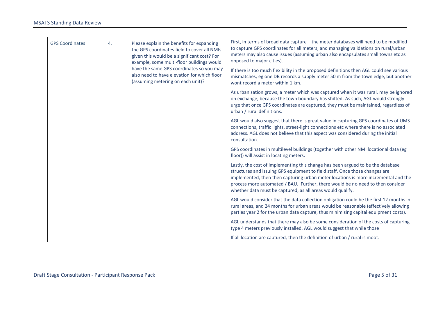| <b>GPS Coordinates</b> | 4. | Please explain the benefits for expanding<br>the GPS coordinates field to cover all NMIs<br>given this would be a significant cost? For<br>example, some multi-floor buildings would<br>have the same GPS coordinates so you may<br>also need to have elevation for which floor<br>(assuming metering on each unit)?                                                                                 | First, in terms of broad data capture - the meter databases will need to be modified<br>to capture GPS coordinates for all meters, and managing validations on rural/urban<br>meters may also cause issues (assuming urban also encapsulates small towns etc as<br>opposed to major cities). |
|------------------------|----|------------------------------------------------------------------------------------------------------------------------------------------------------------------------------------------------------------------------------------------------------------------------------------------------------------------------------------------------------------------------------------------------------|----------------------------------------------------------------------------------------------------------------------------------------------------------------------------------------------------------------------------------------------------------------------------------------------|
|                        |    |                                                                                                                                                                                                                                                                                                                                                                                                      | If there is too much flexibility in the proposed definitions then AGL could see various<br>mismatches, eg one DB records a supply meter 50 m from the town edge, but another<br>wont record a meter within 1 km.                                                                             |
|                        |    |                                                                                                                                                                                                                                                                                                                                                                                                      | As urbanisation grows, a meter which was captured when it was rural, may be ignored<br>on exchange, because the town boundary has shifted. As such, AGL would strongly<br>urge that once GPS coordinates are captured, they must be maintained, regardless of<br>urban / rural definitions.  |
|                        |    |                                                                                                                                                                                                                                                                                                                                                                                                      | AGL would also suggest that there is great value in capturing GPS coordinates of UMS<br>connections, traffic lights, street-light connections etc where there is no associated<br>address. AGL does not believe that this aspect was considered during the initial<br>consultation.          |
|                        |    |                                                                                                                                                                                                                                                                                                                                                                                                      | GPS coordinates in multilevel buildings (together with other NMI locational data (eg<br>floor)) will assist in locating meters.                                                                                                                                                              |
|                        |    | Lastly, the cost of implementing this change has been argued to be the database<br>structures and issuing GPS equipment to field staff. Once those changes are<br>implemented, then then capturing urban meter locations is more incremental and the<br>process more automated / BAU. Further, there would be no need to then consider<br>whether data must be captured, as all areas would qualify. |                                                                                                                                                                                                                                                                                              |
|                        |    |                                                                                                                                                                                                                                                                                                                                                                                                      | AGL would consider that the data collection obligation could be the first 12 months in<br>rural areas, and 24 months for urban areas would be reasonable (effectively allowing<br>parties year 2 for the urban data capture, thus minimising capital equipment costs).                       |
|                        |    |                                                                                                                                                                                                                                                                                                                                                                                                      | AGL understands that there may also be some consideration of the costs of capturing<br>type 4 meters previously installed. AGL would suggest that while those                                                                                                                                |
|                        |    |                                                                                                                                                                                                                                                                                                                                                                                                      | If all location are captured, then the definition of urban / rural is moot.                                                                                                                                                                                                                  |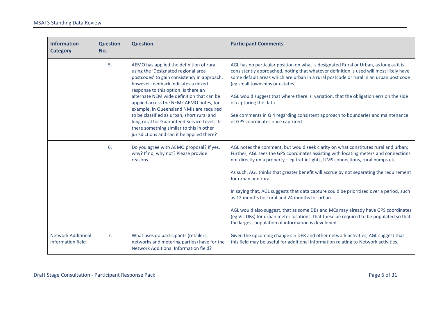| <b>Information</b><br><b>Category</b>          | <b>Question</b><br>No. | <b>Question</b>                                                                                                                                                                                                                                                                                                                                                                                                                                                                                                                          | <b>Participant Comments</b>                                                                                                                                                                                                                                                                                                                                                                                                                                                                                                                                                                                                                                                                                                                                           |
|------------------------------------------------|------------------------|------------------------------------------------------------------------------------------------------------------------------------------------------------------------------------------------------------------------------------------------------------------------------------------------------------------------------------------------------------------------------------------------------------------------------------------------------------------------------------------------------------------------------------------|-----------------------------------------------------------------------------------------------------------------------------------------------------------------------------------------------------------------------------------------------------------------------------------------------------------------------------------------------------------------------------------------------------------------------------------------------------------------------------------------------------------------------------------------------------------------------------------------------------------------------------------------------------------------------------------------------------------------------------------------------------------------------|
|                                                | 5.                     | AEMO has applied the definition of rural<br>using the 'Designated regional area<br>postcodes' to gain consistency in approach,<br>however feedback indicates a mixed<br>response to this option. Is there an<br>alternate NEM wide definition that can be<br>applied across the NEM? AEMO notes, for<br>example, in Queensland NMIs are required<br>to be classified as urban, short rural and<br>long rural for Guaranteed Service Levels. Is<br>there something similar to this in other<br>jurisdictions and can it be applied there? | AGL has no particular position on what is designated Rural or Urban, as long as it is<br>consistently approached, noting that whatever definition is used will most likely have<br>some default areas which are urban in a rural postcode or rural in an urban post code<br>(eg small townships or estates).<br>AGL would suggest that where there is variation, that the obligation errs on the side<br>of capturing the data.<br>See comments in Q 4 regarding consistent approach to boundaries and maintenance<br>of GPS coordinates once captured.                                                                                                                                                                                                               |
|                                                | 6.                     | Do you agree with AEMO proposal? If yes,<br>why? If no, why not? Please provide<br>reasons.                                                                                                                                                                                                                                                                                                                                                                                                                                              | AGL notes the comment, but would seek clarity on what constitutes rural and urban;<br>Further, AGL sees the GPS coordinates assisting with locating meters and connections<br>not directly on a property - eg traffic lights, UMS connections, rural pumps etc.<br>As such, AGL thinks that greater benefit will accrue by not separating the requirement<br>for urban and rural.<br>In saying that, AGL suggests that data capture could be prioritised over a period, such<br>as 12 months for rural and 24 months for urban.<br>AGL would also suggest, that as some DBs and MCs may already have GPS coordinates<br>(eg Vic DBs) for urban meter locations, that these be required to be populated so that<br>the largest population of information is developed. |
| <b>Network Additional</b><br>Information field | 7.                     | What uses do participants (retailers,<br>networks and metering parties) have for the<br><b>Network Additional Information field?</b>                                                                                                                                                                                                                                                                                                                                                                                                     | Given the upcoming change sin DER and other network activities, AGL suggest that<br>this field may be useful for additional information relating to Network activities.                                                                                                                                                                                                                                                                                                                                                                                                                                                                                                                                                                                               |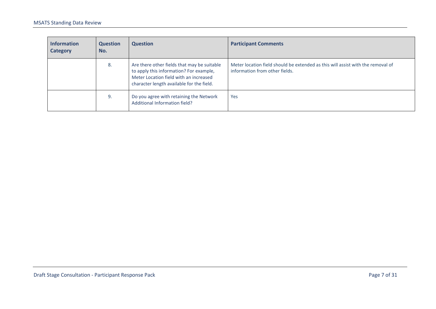| <b>Information</b><br><b>Category</b> | <b>Question</b><br>No. | <b>Question</b>                                                                                                                                                               | <b>Participant Comments</b>                                                                                       |
|---------------------------------------|------------------------|-------------------------------------------------------------------------------------------------------------------------------------------------------------------------------|-------------------------------------------------------------------------------------------------------------------|
|                                       | 8.                     | Are there other fields that may be suitable<br>to apply this information? For example,<br>Meter Location field with an increased<br>character length available for the field. | Meter location field should be extended as this will assist with the removal of<br>information from other fields. |
|                                       | 9.                     | Do you agree with retaining the Network<br>Additional Information field?                                                                                                      | Yes                                                                                                               |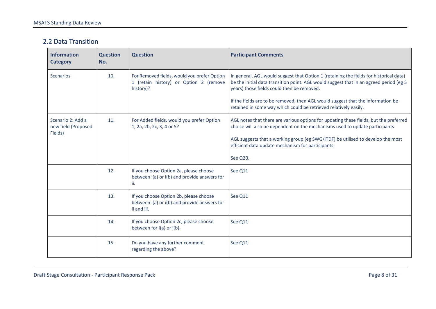#### 2.2 Data Transition

| <b>Information</b><br><b>Category</b>               | <b>Question</b><br>No. | <b>Question</b>                                                                                       | <b>Participant Comments</b>                                                                                                                                                                                                                                                                                               |
|-----------------------------------------------------|------------------------|-------------------------------------------------------------------------------------------------------|---------------------------------------------------------------------------------------------------------------------------------------------------------------------------------------------------------------------------------------------------------------------------------------------------------------------------|
| <b>Scenarios</b>                                    | 10.                    | For Removed fields, would you prefer Option<br>1 (retain history) or Option 2 (remove<br>history)?    | In general, AGL would suggest that Option 1 (retaining the fields for historical data)<br>be the initial data transition point. AGL would suggest that in an agreed period (eg 5<br>years) those fields could then be removed.                                                                                            |
|                                                     |                        |                                                                                                       | If the fields are to be removed, then AGL would suggest that the information be<br>retained in some way which could be retrieved relatively easily.                                                                                                                                                                       |
| Scenario 2: Add a<br>new field (Proposed<br>Fields) | 11.                    | For Added fields, would you prefer Option<br>1, 2a, 2b, 2c, 3, 4 or 5?                                | AGL notes that there are various options for updating these fields, but the preferred<br>choice will also be dependent on the mechanisms used to update participants.<br>AGL suggests that a working group (eg SWG/ITDF) be utilised to develop the most<br>efficient data update mechanism for participants.<br>See Q20. |
|                                                     | 12.                    | If you choose Option 2a, please choose<br>between i(a) or i(b) and provide answers for<br>ii.         | See Q11                                                                                                                                                                                                                                                                                                                   |
|                                                     | 13.                    | If you choose Option 2b, please choose<br>between i(a) or i(b) and provide answers for<br>ii and iii. | See Q11                                                                                                                                                                                                                                                                                                                   |
|                                                     | 14.                    | If you choose Option 2c, please choose<br>between for i(a) or i(b).                                   | See Q11                                                                                                                                                                                                                                                                                                                   |
|                                                     | 15.                    | Do you have any further comment<br>regarding the above?                                               | See Q11                                                                                                                                                                                                                                                                                                                   |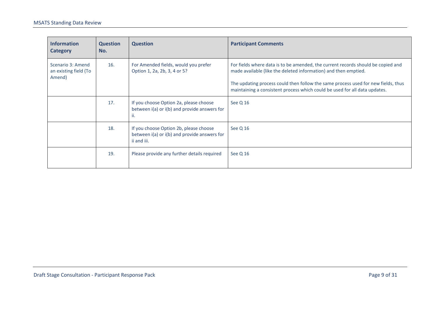| <b>Information</b><br><b>Category</b>                | <b>Question</b><br>No. | <b>Question</b>                                                                                       | <b>Participant Comments</b>                                                                                                                                                                                                                                                                                            |
|------------------------------------------------------|------------------------|-------------------------------------------------------------------------------------------------------|------------------------------------------------------------------------------------------------------------------------------------------------------------------------------------------------------------------------------------------------------------------------------------------------------------------------|
| Scenario 3: Amend<br>an existing field (To<br>Amend) | 16.                    | For Amended fields, would you prefer<br>Option 1, 2a, 2b, 3, 4 or 5?                                  | For fields where data is to be amended, the current records should be copied and<br>made available (like the deleted information) and then emptied.<br>The updating process could then follow the same process used for new fields, thus<br>maintaining a consistent process which could be used for all data updates. |
|                                                      |                        |                                                                                                       |                                                                                                                                                                                                                                                                                                                        |
|                                                      | 17.                    | If you choose Option 2a, please choose<br>between i(a) or i(b) and provide answers for<br>ii.         | See Q 16                                                                                                                                                                                                                                                                                                               |
|                                                      | 18.                    | If you choose Option 2b, please choose<br>between i(a) or i(b) and provide answers for<br>ii and iii. | See Q 16                                                                                                                                                                                                                                                                                                               |
|                                                      | 19.                    | Please provide any further details required                                                           | See Q 16                                                                                                                                                                                                                                                                                                               |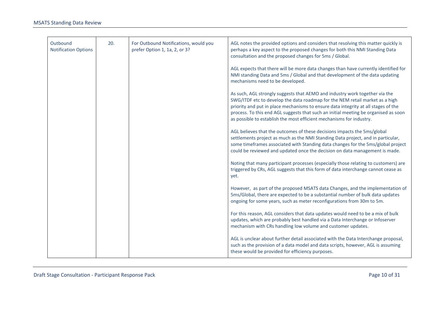| Outbound<br><b>Notification Options</b> | 20. | For Outbound Notifications, would you<br>prefer Option 1, 1a, 2, or 3? | AGL notes the provided options and considers that resolving this matter quickly is<br>perhaps a key aspect to the proposed changes for both this NMI Standing Data<br>consultation and the proposed changes for 5ms / Global.                                                                                                                                                                                    |
|-----------------------------------------|-----|------------------------------------------------------------------------|------------------------------------------------------------------------------------------------------------------------------------------------------------------------------------------------------------------------------------------------------------------------------------------------------------------------------------------------------------------------------------------------------------------|
|                                         |     |                                                                        | AGL expects that there will be more data changes than have currently identified for<br>NMI standing Data and 5ms / Global and that development of the data updating<br>mechanisms need to be developed.                                                                                                                                                                                                          |
|                                         |     |                                                                        | As such, AGL strongly suggests that AEMO and industry work together via the<br>SWG/ITDF etc to develop the data roadmap for the NEM retail market as a high<br>priority and put in place mechanisms to ensure data integrity at all stages of the<br>process. To this end AGL suggests that such an initial meeting be organised as soon<br>as possible to establish the most efficient mechanisms for industry. |
|                                         |     |                                                                        | AGL believes that the outcomes of these decisions impacts the 5ms/global<br>settlements project as much as the NMI Standing Data project, and in particular,<br>some timeframes associated with Standing data changes for the 5ms/global project<br>could be reviewed and updated once the decision on data management is made.                                                                                  |
|                                         |     |                                                                        | Noting that many participant processes (especially those relating to customers) are<br>triggered by CRs, AGL suggests that this form of data interchange cannot cease as<br>yet.                                                                                                                                                                                                                                 |
|                                         |     |                                                                        | However, as part of the proposed MSATS data Changes, and the implementation of<br>5ms/Global, there are expected to be a substantial number of bulk data updates<br>ongoing for some years, such as meter reconfigurations from 30m to 5m.                                                                                                                                                                       |
|                                         |     |                                                                        | For this reason, AGL considers that data updates would need to be a mix of bulk<br>updates, which are probably best handled via a Data Interchange or Infoserver<br>mechanism with CRs handling low volume and customer updates.                                                                                                                                                                                 |
|                                         |     |                                                                        | AGL is unclear about further detail associated with the Data Interchange proposal,<br>such as the provision of a data model and data scripts, however, AGL is assuming<br>these would be provided for efficiency purposes.                                                                                                                                                                                       |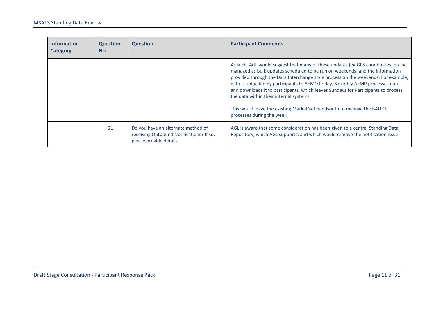| <b>Information</b><br><b>Category</b> | <b>Question</b><br>No. | <b>Question</b>                                                                                          | <b>Participant Comments</b>                                                                                                                                                                                                                                                                                                                                                                                                                                                                                                                                                      |
|---------------------------------------|------------------------|----------------------------------------------------------------------------------------------------------|----------------------------------------------------------------------------------------------------------------------------------------------------------------------------------------------------------------------------------------------------------------------------------------------------------------------------------------------------------------------------------------------------------------------------------------------------------------------------------------------------------------------------------------------------------------------------------|
|                                       |                        |                                                                                                          | As such, AGL would suggest that many of these updates (eg GPS coordinates) etc be<br>managed as bulk updates scheduled to be run on weekends, and the information<br>provided through the Data Interchange style process on the weekends. For example,<br>data is uploaded by participants to AEMO Friday, Saturday AEMP processes data<br>and downloads it to participants, which leaves Sundays for Participants to process<br>the data within their internal systems.<br>This would leave the existing MarketNet bandwidth to manage the BAU CR<br>processes during the week. |
|                                       | 21.                    | Do you have an alternate method of<br>receiving Outbound Notifications? If so,<br>please provide details | AGL is aware that some consideration has been given to a central Standing Data<br>Repository, which AGL supports, and which would remove the notification issue.                                                                                                                                                                                                                                                                                                                                                                                                                 |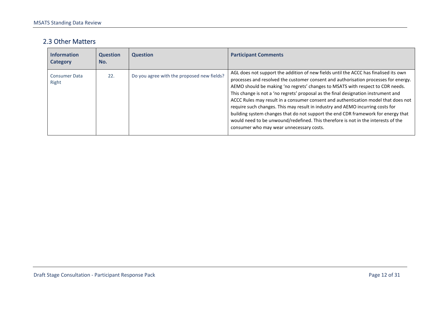#### 2.3 Other Matters

| <b>Information</b><br>Category | <b>Question</b><br>No. | <b>Question</b>                            | <b>Participant Comments</b>                                                                                                                                                                                                                                                                                                                                                                                                                                                                                                                                                                                                                                                                                                                       |
|--------------------------------|------------------------|--------------------------------------------|---------------------------------------------------------------------------------------------------------------------------------------------------------------------------------------------------------------------------------------------------------------------------------------------------------------------------------------------------------------------------------------------------------------------------------------------------------------------------------------------------------------------------------------------------------------------------------------------------------------------------------------------------------------------------------------------------------------------------------------------------|
| <b>Consumer Data</b><br>Right  | 22.                    | Do you agree with the proposed new fields? | AGL does not support the addition of new fields until the ACCC has finalised its own<br>processes and resolved the customer consent and authorisation processes for energy.<br>AEMO should be making 'no regrets' changes to MSATS with respect to CDR needs.<br>This change is not a 'no regrets' proposal as the final designation instrument and<br>ACCC Rules may result in a consumer consent and authentication model that does not<br>require such changes. This may result in industry and AEMO incurring costs for<br>building system changes that do not support the end CDR framework for energy that<br>would need to be unwound/redefined. This therefore is not in the interests of the<br>consumer who may wear unnecessary costs. |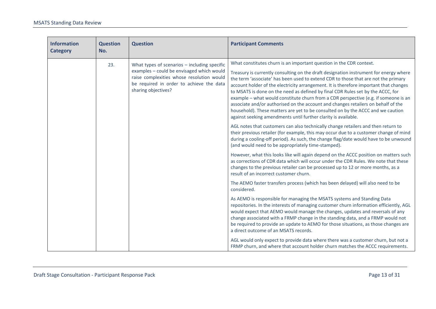| <b>Information</b><br><b>Category</b> | <b>Question</b><br>No. | <b>Question</b>                                                                                                                                           | <b>Participant Comments</b>                                                                                                                                                                                                                                                                                                                                                                                                                                                                                                                                                                                                                                                              |
|---------------------------------------|------------------------|-----------------------------------------------------------------------------------------------------------------------------------------------------------|------------------------------------------------------------------------------------------------------------------------------------------------------------------------------------------------------------------------------------------------------------------------------------------------------------------------------------------------------------------------------------------------------------------------------------------------------------------------------------------------------------------------------------------------------------------------------------------------------------------------------------------------------------------------------------------|
|                                       | 23.                    | What types of scenarios $-$ including specific                                                                                                            | What constitutes churn is an important question in the CDR context.                                                                                                                                                                                                                                                                                                                                                                                                                                                                                                                                                                                                                      |
|                                       |                        | examples - could be envisaged which would<br>raise complexities whose resolution would<br>be required in order to achieve the data<br>sharing objectives? | Treasury is currently consulting on the draft designation instrument for energy where<br>the term 'associate' has been used to extend CDR to those that are not the primary<br>account holder of the electricity arrangement. It is therefore important that changes<br>to MSATS is done on the need as defined by final CDR Rules set by the ACCC, for<br>example - what would constitute churn from a CDR perspective (e.g. if someone is an<br>associate and/or authorised on the account and changes retailers on behalf of the<br>household). These matters are yet to be consulted on by the ACCC and we caution<br>against seeking amendments until further clarity is available. |
|                                       |                        |                                                                                                                                                           | AGL notes that customers can also technically change retailers and then return to<br>their previous retailer (for example, this may occur due to a customer change of mind<br>during a cooling-off period). As such, the change flag/date would have to be unwound<br>(and would need to be appropriately time-stamped).                                                                                                                                                                                                                                                                                                                                                                 |
|                                       |                        |                                                                                                                                                           | However, what this looks like will again depend on the ACCC position on matters such<br>as corrections of CDR data which will occur under the CDR Rules. We note that these<br>changes to the previous retailer can be processed up to 12 or more months, as a<br>result of an incorrect customer churn.                                                                                                                                                                                                                                                                                                                                                                                 |
|                                       |                        |                                                                                                                                                           | The AEMO faster transfers process (which has been delayed) will also need to be<br>considered.                                                                                                                                                                                                                                                                                                                                                                                                                                                                                                                                                                                           |
|                                       |                        |                                                                                                                                                           | As AEMO is responsible for managing the MSATS systems and Standing Data<br>repositories. In the interests of managing customer churn information efficiently, AGL<br>would expect that AEMO would manage the changes, updates and reversals of any<br>change associated with a FRMP change in the standing data, and a FRMP would not<br>be required to provide an update to AEMO for those situations, as those changes are<br>a direct outcome of an MSATS records.                                                                                                                                                                                                                    |
|                                       |                        |                                                                                                                                                           | AGL would only expect to provide data where there was a customer churn, but not a<br>FRMP churn, and where that account holder churn matches the ACCC requirements.                                                                                                                                                                                                                                                                                                                                                                                                                                                                                                                      |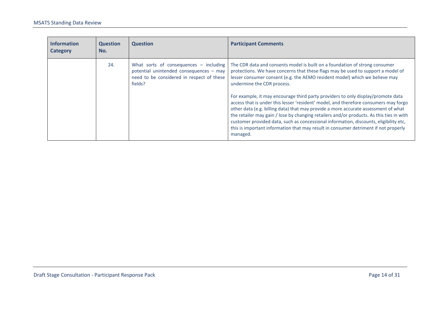| <b>Information</b><br><b>Category</b> | <b>Question</b><br>No. | <b>Question</b>                                                                                                                             | <b>Participant Comments</b>                                                                                                                                                                                                                                                                                                                                                                                                                                                                                                                                                                                                                                                                                                                                                                                                            |
|---------------------------------------|------------------------|---------------------------------------------------------------------------------------------------------------------------------------------|----------------------------------------------------------------------------------------------------------------------------------------------------------------------------------------------------------------------------------------------------------------------------------------------------------------------------------------------------------------------------------------------------------------------------------------------------------------------------------------------------------------------------------------------------------------------------------------------------------------------------------------------------------------------------------------------------------------------------------------------------------------------------------------------------------------------------------------|
|                                       | 24.                    | What sorts of consequences $-$ including<br>potential unintended consequences - may<br>need to be considered in respect of these<br>fields? | The CDR data and consents model is built on a foundation of strong consumer<br>protections. We have concerns that these flags may be used to support a model of<br>lesser consumer consent (e.g. the AEMO resident model) which we believe may<br>undermine the CDR process.<br>For example, it may encourage third party providers to only display/promote data<br>access that is under this lesser 'resident' model, and therefore consumers may forgo<br>other data (e.g. billing data) that may provide a more accurate assessment of what<br>the retailer may gain / lose by changing retailers and/or products. As this ties in with<br>customer provided data, such as concessional information, discounts, eligibility etc,<br>this is important information that may result in consumer detriment if not properly<br>managed. |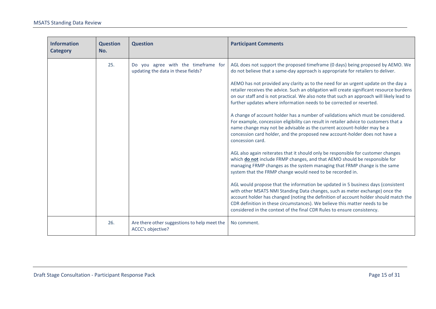| <b>Information</b><br><b>Category</b> | <b>Question</b><br>No.                                                           | <b>Question</b>                                                   | <b>Participant Comments</b>                                                                                                                                                                                                                                                                                                                                                                                                                                                                                                 |
|---------------------------------------|----------------------------------------------------------------------------------|-------------------------------------------------------------------|-----------------------------------------------------------------------------------------------------------------------------------------------------------------------------------------------------------------------------------------------------------------------------------------------------------------------------------------------------------------------------------------------------------------------------------------------------------------------------------------------------------------------------|
|                                       | 25.<br>Do you agree with the timeframe for<br>updating the data in these fields? |                                                                   | AGL does not support the proposed timeframe (0 days) being proposed by AEMO. We<br>do not believe that a same-day approach is appropriate for retailers to deliver.<br>AEMO has not provided any clarity as to the need for an urgent update on the day a<br>retailer receives the advice. Such an obligation will create significant resource burdens<br>on our staff and is not practical. We also note that such an approach will likely lead to<br>further updates where information needs to be corrected or reverted. |
|                                       |                                                                                  |                                                                   | A change of account holder has a number of validations which must be considered.<br>For example, concession eligibility can result in retailer advice to customers that a<br>name change may not be advisable as the current account-holder may be a<br>concession card holder, and the proposed new account-holder does not have a<br>concession card.                                                                                                                                                                     |
|                                       |                                                                                  |                                                                   | AGL also again reiterates that it should only be responsible for customer changes<br>which do not include FRMP changes, and that AEMO should be responsible for<br>managing FRMP changes as the system managing that FRMP change is the same<br>system that the FRMP change would need to be recorded in.                                                                                                                                                                                                                   |
|                                       |                                                                                  |                                                                   | AGL would propose that the information be updated in 5 business days (consistent<br>with other MSATS NMI Standing Data changes, such as meter exchange) once the<br>account holder has changed (noting the definition of account holder should match the<br>CDR definition in these circumstances). We believe this matter needs to be<br>considered in the context of the final CDR Rules to ensure consistency.                                                                                                           |
|                                       | 26.                                                                              | Are there other suggestions to help meet the<br>ACCC's objective? | No comment.                                                                                                                                                                                                                                                                                                                                                                                                                                                                                                                 |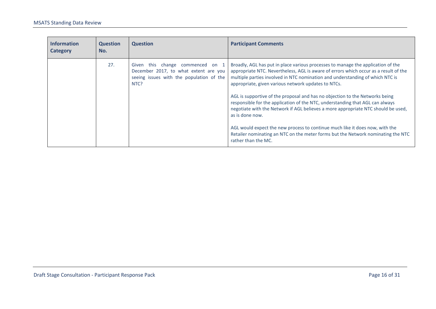| <b>Information</b><br><b>Category</b> | <b>Question</b><br>No. | <b>Question</b>                                                                                                                  | <b>Participant Comments</b>                                                                                                                                                                                                                                                                                      |
|---------------------------------------|------------------------|----------------------------------------------------------------------------------------------------------------------------------|------------------------------------------------------------------------------------------------------------------------------------------------------------------------------------------------------------------------------------------------------------------------------------------------------------------|
|                                       | 27.                    | this change commenced on 1<br>Given<br>December 2017, to what extent are you<br>seeing issues with the population of the<br>NTC? | Broadly, AGL has put in place various processes to manage the application of the<br>appropriate NTC. Nevertheless, AGL is aware of errors which occur as a result of the<br>multiple parties involved in NTC nomination and understanding of which NTC is<br>appropriate, given various network updates to NTCs. |
|                                       |                        |                                                                                                                                  | AGL is supportive of the proposal and has no objection to the Networks being<br>responsible for the application of the NTC, understanding that AGL can always<br>negotiate with the Network if AGL believes a more appropriate NTC should be used,<br>as is done now.                                            |
|                                       |                        |                                                                                                                                  | AGL would expect the new process to continue much like it does now, with the<br>Retailer nominating an NTC on the meter forms but the Network nominating the NTC<br>rather than the MC.                                                                                                                          |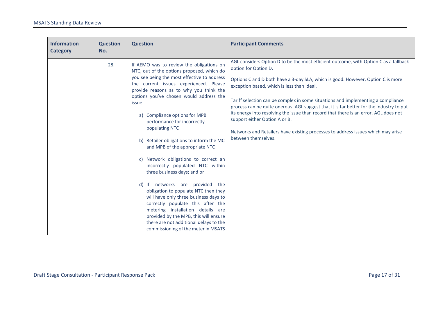| <b>Information</b><br><b>Category</b> | <b>Question</b><br>No. | <b>Question</b>                                                                                                                                                                                                                                                                                                                                                                                                                                                                                                                                                                                                                                                                                                                                                                                                                                                                    | <b>Participant Comments</b>                                                                                                                                                                                                                                                                                                                                                                                                                                                                                                                                                                                                                                      |
|---------------------------------------|------------------------|------------------------------------------------------------------------------------------------------------------------------------------------------------------------------------------------------------------------------------------------------------------------------------------------------------------------------------------------------------------------------------------------------------------------------------------------------------------------------------------------------------------------------------------------------------------------------------------------------------------------------------------------------------------------------------------------------------------------------------------------------------------------------------------------------------------------------------------------------------------------------------|------------------------------------------------------------------------------------------------------------------------------------------------------------------------------------------------------------------------------------------------------------------------------------------------------------------------------------------------------------------------------------------------------------------------------------------------------------------------------------------------------------------------------------------------------------------------------------------------------------------------------------------------------------------|
|                                       | 28.                    | If AEMO was to review the obligations on<br>NTC, out of the options proposed, which do<br>you see being the most effective to address<br>the current issues experienced. Please<br>provide reasons as to why you think the<br>options you've chosen would address the<br>issue.<br>a) Compliance options for MPB<br>performance for incorrectly<br>populating NTC<br>b) Retailer obligations to inform the MC<br>and MPB of the appropriate NTC<br>c) Network obligations to correct an<br>incorrectly populated NTC within<br>three business days; and or<br>d) If networks are provided the<br>obligation to populate NTC then they<br>will have only three business days to<br>correctly populate this after the<br>metering installation details are<br>provided by the MPB, this will ensure<br>there are not additional delays to the<br>commissioning of the meter in MSATS | AGL considers Option D to be the most efficient outcome, with Option C as a fallback<br>option for Option D.<br>Options C and D both have a 3-day SLA, which is good. However, Option C is more<br>exception based, which is less than ideal.<br>Tariff selection can be complex in some situations and implementing a compliance<br>process can be quite onerous. AGL suggest that it is far better for the industry to put<br>its energy into resolving the issue than record that there is an error. AGL does not<br>support either Option A or B.<br>Networks and Retailers have existing processes to address issues which may arise<br>between themselves. |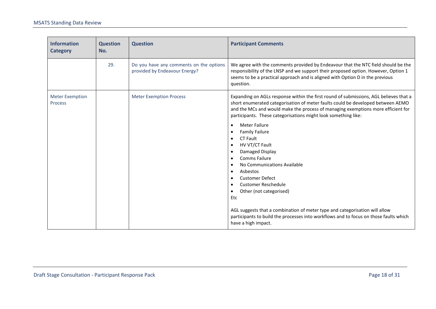| <b>Information</b><br><b>Category</b>    | <b>Question</b><br>No. | <b>Question</b>                                                          | <b>Participant Comments</b>                                                                                                                                                                                                                                                                                                                                                                                                                                                                                                                                                                                      |  |
|------------------------------------------|------------------------|--------------------------------------------------------------------------|------------------------------------------------------------------------------------------------------------------------------------------------------------------------------------------------------------------------------------------------------------------------------------------------------------------------------------------------------------------------------------------------------------------------------------------------------------------------------------------------------------------------------------------------------------------------------------------------------------------|--|
|                                          | 29.                    | Do you have any comments on the options<br>provided by Endeavour Energy? | We agree with the comments provided by Endeavour that the NTC field should be the<br>responsibility of the LNSP and we support their proposed option. However, Option 1<br>seems to be a practical approach and is aligned with Option D in the previous<br>question.                                                                                                                                                                                                                                                                                                                                            |  |
| <b>Meter Exemption</b><br><b>Process</b> |                        | <b>Meter Exemption Process</b>                                           | Expanding on AGLs response within the first round of submissions, AGL believes that a<br>short enumerated categorisation of meter faults could be developed between AEMO<br>and the MCs and would make the process of managing exemptions more efficient for<br>participants. These categorisations might look something like:                                                                                                                                                                                                                                                                                   |  |
|                                          |                        |                                                                          | <b>Meter Failure</b><br>$\bullet$<br><b>Family Failure</b><br>$\bullet$<br><b>CT Fault</b><br>$\bullet$<br>HV VT/CT Fault<br>$\bullet$<br>Damaged Display<br>$\bullet$<br>Comms Failure<br>$\bullet$<br>No Communications Available<br>$\bullet$<br>Asbestos<br>$\bullet$<br><b>Customer Defect</b><br>$\bullet$<br><b>Customer Reschedule</b><br>$\bullet$<br>Other (not categorised)<br>$\bullet$<br><b>Etc</b><br>AGL suggests that a combination of meter type and categorisation will allow<br>participants to build the processes into workflows and to focus on those faults which<br>have a high impact. |  |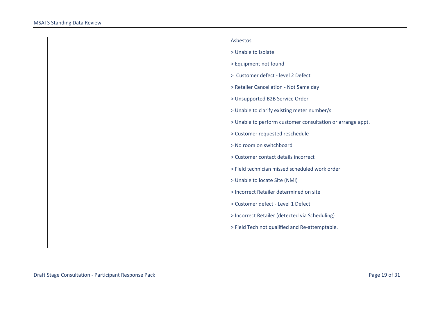|  | Asbestos                                                   |
|--|------------------------------------------------------------|
|  | > Unable to Isolate                                        |
|  | > Equipment not found                                      |
|  | > Customer defect - level 2 Defect                         |
|  | > Retailer Cancellation - Not Same day                     |
|  | > Unsupported B2B Service Order                            |
|  | > Unable to clarify existing meter number/s                |
|  | > Unable to perform customer consultation or arrange appt. |
|  | > Customer requested reschedule                            |
|  | > No room on switchboard                                   |
|  | > Customer contact details incorrect                       |
|  | > Field technician missed scheduled work order             |
|  | > Unable to locate Site (NMI)                              |
|  | > Incorrect Retailer determined on site                    |
|  | > Customer defect - Level 1 Defect                         |
|  | > Incorrect Retailer (detected via Scheduling)             |
|  | > Field Tech not qualified and Re-attemptable.             |
|  |                                                            |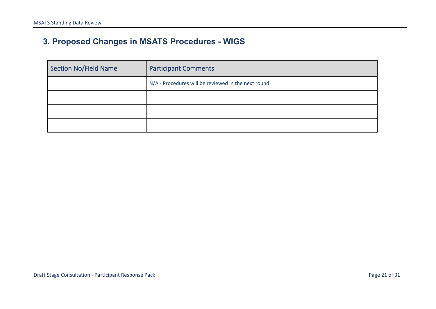# **3. Proposed Changes in MSATS Procedures - WIGS**

| <b>Section No/Field Name</b> | <b>Participant Comments</b>                         |
|------------------------------|-----------------------------------------------------|
|                              | N/A - Procedures will be reviewed in the next round |
|                              |                                                     |
|                              |                                                     |
|                              |                                                     |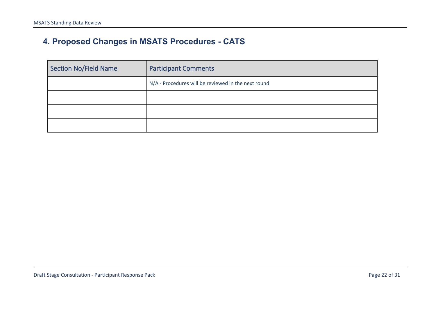# **4. Proposed Changes in MSATS Procedures - CATS**

| <b>Section No/Field Name</b> | <b>Participant Comments</b>                         |
|------------------------------|-----------------------------------------------------|
|                              | N/A - Procedures will be reviewed in the next round |
|                              |                                                     |
|                              |                                                     |
|                              |                                                     |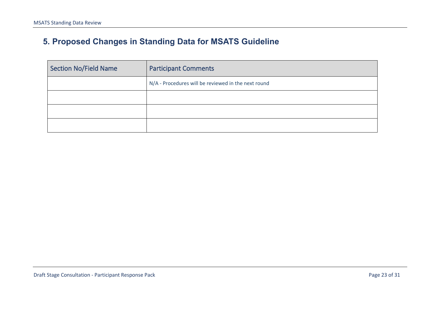# **5. Proposed Changes in Standing Data for MSATS Guideline**

| <b>Section No/Field Name</b> | <b>Participant Comments</b>                         |
|------------------------------|-----------------------------------------------------|
|                              | N/A - Procedures will be reviewed in the next round |
|                              |                                                     |
|                              |                                                     |
|                              |                                                     |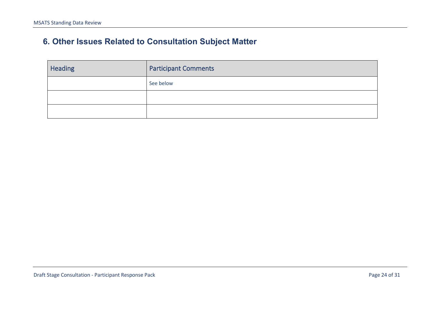# **6. Other Issues Related to Consultation Subject Matter**

<span id="page-23-0"></span>

| Heading | <b>Participant Comments</b> |  |
|---------|-----------------------------|--|
|         | See below                   |  |
|         |                             |  |
|         |                             |  |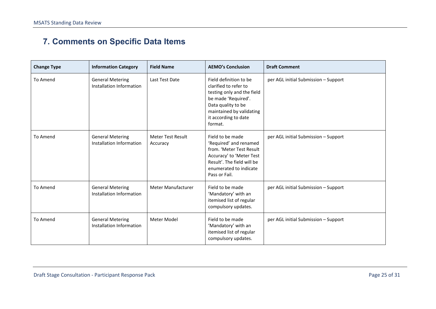# **7. Comments on Specific Data Items**

| <b>Change Type</b> | <b>Information Category</b>                         | <b>Field Name</b>                    | <b>AEMO's Conclusion</b>                                                                                                                                                                  | <b>Draft Comment</b>                 |
|--------------------|-----------------------------------------------------|--------------------------------------|-------------------------------------------------------------------------------------------------------------------------------------------------------------------------------------------|--------------------------------------|
| To Amend           | <b>General Metering</b><br>Installation Information | Last Test Date                       | Field definition to be<br>clarified to refer to<br>testing only and the field<br>be made 'Required'.<br>Data quality to be<br>maintained by validating<br>it according to date<br>format. | per AGL initial Submission - Support |
| To Amend           | <b>General Metering</b><br>Installation Information | <b>Meter Test Result</b><br>Accuracy | Field to be made<br>'Required' and renamed<br>from. 'Meter Test Result<br>Accuracy' to 'Meter Test<br>Result'. The field will be<br>enumerated to indicate<br>Pass or Fail.               | per AGL initial Submission - Support |
| To Amend           | <b>General Metering</b><br>Installation Information | <b>Meter Manufacturer</b>            | Field to be made<br>'Mandatory' with an<br>itemised list of regular<br>compulsory updates.                                                                                                | per AGL initial Submission - Support |
| To Amend           | <b>General Metering</b><br>Installation Information | Meter Model                          | Field to be made<br>'Mandatory' with an<br>itemised list of regular<br>compulsory updates.                                                                                                | per AGL initial Submission - Support |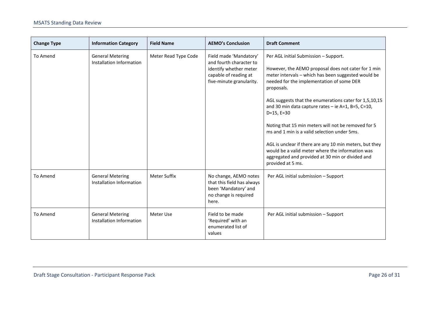| <b>Change Type</b> | <b>Information Category</b>                         | <b>Field Name</b>    | <b>AEMO's Conclusion</b>                                                                                                         | <b>Draft Comment</b>                                                                                                                                                                                                                                                                                                                                                                                                                                                                                                                                                                                                                          |
|--------------------|-----------------------------------------------------|----------------------|----------------------------------------------------------------------------------------------------------------------------------|-----------------------------------------------------------------------------------------------------------------------------------------------------------------------------------------------------------------------------------------------------------------------------------------------------------------------------------------------------------------------------------------------------------------------------------------------------------------------------------------------------------------------------------------------------------------------------------------------------------------------------------------------|
| To Amend           | <b>General Metering</b><br>Installation Information | Meter Read Type Code | Field made 'Mandatory'<br>and fourth character to<br>identify whether meter<br>capable of reading at<br>five-minute granularity. | Per AGL initial Submission - Support.<br>However, the AEMO proposal does not cater for 1 min<br>meter intervals - which has been suggested would be<br>needed for the implementation of some DER<br>proposals.<br>AGL suggests that the enumerations cater for 1,5,10,15<br>and 30 min data capture rates - ie A=1, B=5, C=10,<br>$D=15, E=30$<br>Noting that 15 min meters will not be removed for 5<br>ms and 1 min is a valid selection under 5ms.<br>AGL is unclear if there are any 10 min meters, but they<br>would be a valid meter where the information was<br>aggregated and provided at 30 min or divided and<br>provided at 5 ms. |
| To Amend           | <b>General Metering</b><br>Installation Information | <b>Meter Suffix</b>  | No change, AEMO notes<br>that this field has always<br>been 'Mandatory' and<br>no change is required<br>here.                    | Per AGL initial submission - Support                                                                                                                                                                                                                                                                                                                                                                                                                                                                                                                                                                                                          |
| To Amend           | <b>General Metering</b><br>Installation Information | Meter Use            | Field to be made<br>'Required' with an<br>enumerated list of<br>values                                                           | Per AGL initial submission - Support                                                                                                                                                                                                                                                                                                                                                                                                                                                                                                                                                                                                          |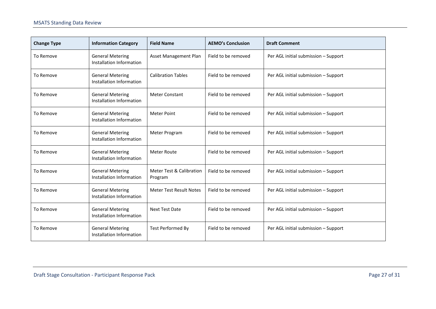| <b>Change Type</b> | <b>Information Category</b>                         | <b>Field Name</b>                   | <b>AEMO's Conclusion</b> | <b>Draft Comment</b>                 |
|--------------------|-----------------------------------------------------|-------------------------------------|--------------------------|--------------------------------------|
| To Remove          | <b>General Metering</b><br>Installation Information | Asset Management Plan               | Field to be removed      | Per AGL initial submission - Support |
| To Remove          | <b>General Metering</b><br>Installation Information | <b>Calibration Tables</b>           | Field to be removed      | Per AGL initial submission - Support |
| To Remove          | <b>General Metering</b><br>Installation Information | <b>Meter Constant</b>               | Field to be removed      | Per AGL initial submission - Support |
| To Remove          | <b>General Metering</b><br>Installation Information | <b>Meter Point</b>                  | Field to be removed      | Per AGL initial submission - Support |
| To Remove          | <b>General Metering</b><br>Installation Information | Meter Program                       | Field to be removed      | Per AGL initial submission - Support |
| To Remove          | <b>General Metering</b><br>Installation Information | <b>Meter Route</b>                  | Field to be removed      | Per AGL initial submission - Support |
| To Remove          | <b>General Metering</b><br>Installation Information | Meter Test & Calibration<br>Program | Field to be removed      | Per AGL initial submission - Support |
| To Remove          | <b>General Metering</b><br>Installation Information | <b>Meter Test Result Notes</b>      | Field to be removed      | Per AGL initial submission - Support |
| To Remove          | <b>General Metering</b><br>Installation Information | <b>Next Test Date</b>               | Field to be removed      | Per AGL initial submission - Support |
| To Remove          | <b>General Metering</b><br>Installation Information | <b>Test Performed By</b>            | Field to be removed      | Per AGL initial submission - Support |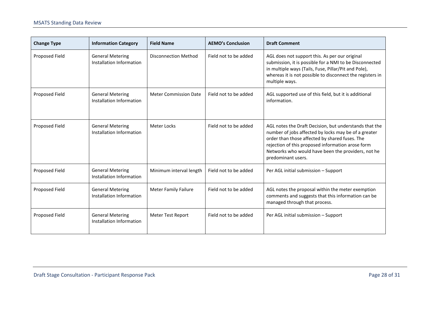| <b>Change Type</b> | <b>Information Category</b>                         | <b>Field Name</b>            | <b>AEMO's Conclusion</b> | <b>Draft Comment</b>                                                                                                                                                                                                                                                                              |
|--------------------|-----------------------------------------------------|------------------------------|--------------------------|---------------------------------------------------------------------------------------------------------------------------------------------------------------------------------------------------------------------------------------------------------------------------------------------------|
| Proposed Field     | <b>General Metering</b><br>Installation Information | <b>Disconnection Method</b>  | Field not to be added    | AGL does not support this. As per our original<br>submission, it is possible for a NMI to be Disconnected<br>in multiple ways (Tails, Fuse, Pillar/Pit and Pole),<br>whereas it is not possible to disconnect the registers in<br>multiple ways.                                                  |
| Proposed Field     | <b>General Metering</b><br>Installation Information | <b>Meter Commission Date</b> | Field not to be added    | AGL supported use of this field, but it is additional<br>information.                                                                                                                                                                                                                             |
| Proposed Field     | <b>General Metering</b><br>Installation Information | Meter Locks                  | Field not to be added    | AGL notes the Draft Decision, but understands that the<br>number of jobs affected by locks may be of a greater<br>order than those affected by shared fuses. The<br>rejection of this proposed information arose form<br>Networks who would have been the providers, not he<br>predominant users. |
| Proposed Field     | <b>General Metering</b><br>Installation Information | Minimum interval length      | Field not to be added    | Per AGL initial submission - Support                                                                                                                                                                                                                                                              |
| Proposed Field     | <b>General Metering</b><br>Installation Information | <b>Meter Family Failure</b>  | Field not to be added    | AGL notes the proposal within the meter exemption<br>comments and suggests that this information can be<br>managed through that process.                                                                                                                                                          |
| Proposed Field     | <b>General Metering</b><br>Installation Information | Meter Test Report            | Field not to be added    | Per AGL initial submission - Support                                                                                                                                                                                                                                                              |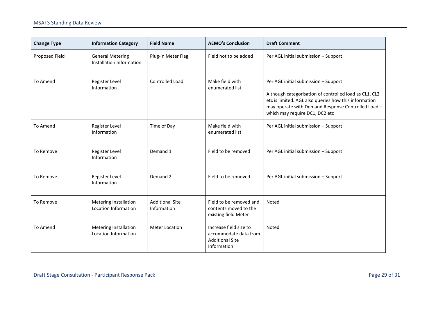| <b>Change Type</b> | <b>Information Category</b>                          | <b>Field Name</b>                     | <b>AEMO's Conclusion</b>                                                                 | <b>Draft Comment</b>                                                                                                                                                                                                                            |
|--------------------|------------------------------------------------------|---------------------------------------|------------------------------------------------------------------------------------------|-------------------------------------------------------------------------------------------------------------------------------------------------------------------------------------------------------------------------------------------------|
| Proposed Field     | <b>General Metering</b><br>Installation Information  | Plug-in Meter Flag                    | Field not to be added                                                                    | Per AGL initial submission - Support                                                                                                                                                                                                            |
| To Amend           | Register Level<br>Information                        | Controlled Load                       | Make field with<br>enumerated list                                                       | Per AGL initial submission - Support<br>Although categorisation of controlled load as CL1, CL2<br>etc is limited. AGL also queries how this information<br>may operate with Demand Response Controlled Load -<br>which may require DC1, DC2 etc |
| To Amend           | Register Level<br>Information                        | Time of Day                           | Make field with<br>enumerated list                                                       | Per AGL initial submission - Support                                                                                                                                                                                                            |
| To Remove          | Register Level<br>Information                        | Demand 1                              | Field to be removed                                                                      | Per AGL initial submission - Support                                                                                                                                                                                                            |
| To Remove          | Register Level<br>Information                        | Demand 2                              | Field to be removed                                                                      | Per AGL initial submission - Support                                                                                                                                                                                                            |
| To Remove          | Metering Installation<br>Location Information        | <b>Additional Site</b><br>Information | Field to be removed and<br>contents moved to the<br>existing field Meter                 | Noted                                                                                                                                                                                                                                           |
| To Amend           | <b>Metering Installation</b><br>Location Information | <b>Meter Location</b>                 | Increase field size to<br>accommodate data from<br><b>Additional Site</b><br>Information | Noted                                                                                                                                                                                                                                           |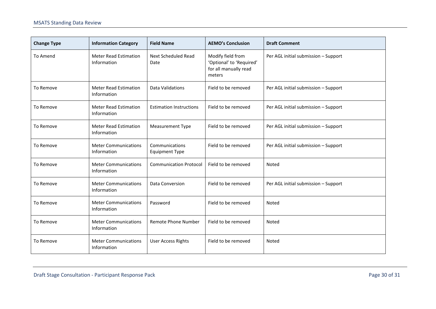| <b>Change Type</b> | <b>Information Category</b>                 | <b>Field Name</b>                       | <b>AEMO's Conclusion</b>                                                         | <b>Draft Comment</b>                 |
|--------------------|---------------------------------------------|-----------------------------------------|----------------------------------------------------------------------------------|--------------------------------------|
| To Amend           | <b>Meter Read Estimation</b><br>Information | <b>Next Scheduled Read</b><br>Date      | Modify field from<br>'Optional' to 'Required'<br>for all manually read<br>meters | Per AGL initial submission - Support |
| To Remove          | <b>Meter Read Estimation</b><br>Information | Data Validations                        | Field to be removed                                                              | Per AGL initial submission - Support |
| To Remove          | <b>Meter Read Estimation</b><br>Information | <b>Estimation Instructions</b>          | Field to be removed                                                              | Per AGL initial submission - Support |
| To Remove          | <b>Meter Read Estimation</b><br>Information | <b>Measurement Type</b>                 | Field to be removed                                                              | Per AGL initial submission - Support |
| To Remove          | <b>Meter Communications</b><br>Information  | Communications<br><b>Equipment Type</b> | Field to be removed                                                              | Per AGL initial submission - Support |
| To Remove          | <b>Meter Communications</b><br>Information  | <b>Communication Protocol</b>           | Field to be removed                                                              | Noted                                |
| To Remove          | <b>Meter Communications</b><br>Information  | Data Conversion                         | Field to be removed                                                              | Per AGL initial submission - Support |
| To Remove          | <b>Meter Communications</b><br>Information  | Password                                | Field to be removed                                                              | Noted                                |
| To Remove          | <b>Meter Communications</b><br>Information  | Remote Phone Number                     | Field to be removed                                                              | Noted                                |
| To Remove          | <b>Meter Communications</b><br>Information  | <b>User Access Rights</b>               | Field to be removed                                                              | Noted                                |